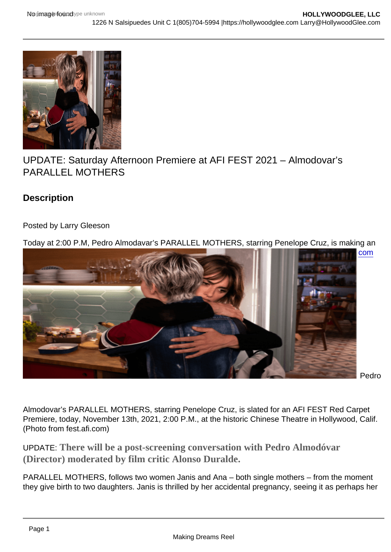## UPDATE: Saturday Afternoon Premiere at AFI FEST 2021 – Almodovar's PARALLEL MOTHERS

**Description** 

Posted by Larry Gleeson

Today at 2:00 P.M, Pedro Almodavar's PARALLEL MOTHERS, starring Penelope Cruz, is making an [afternoon Red Carpet Premiere at the historic Chinese Theatre, in Hollywood, Calif. Visit fest.afi](https://i0.wp.com/hollywoodglee.com/wp-content/uploads/2021/11/Screenshot-32-e1636831197230.png?ssl=1)[.com](https://fest.afi.com/) for more information including ticketing.

Pedro

Almodovar's PARALLEL MOTHERS, starring Penelope Cruz, is slated for an AFI FEST Red Carpet Premiere, today, November 13th, 2021, 2:00 P.M., at the historic Chinese Theatre in Hollywood, Calif. (Photo from fest.afi.com)

UPDATE: There will be apost-screening conversationwith Pedro Almodóvar (Director) moderated by film critic Alonso Duralde.

PARALLEL MOTHERS, follows two women Janis and Ana – both single mothers – from the moment they give birth to two daughters. Janis is thrilled by her accidental pregnancy, seeing it as perhaps her